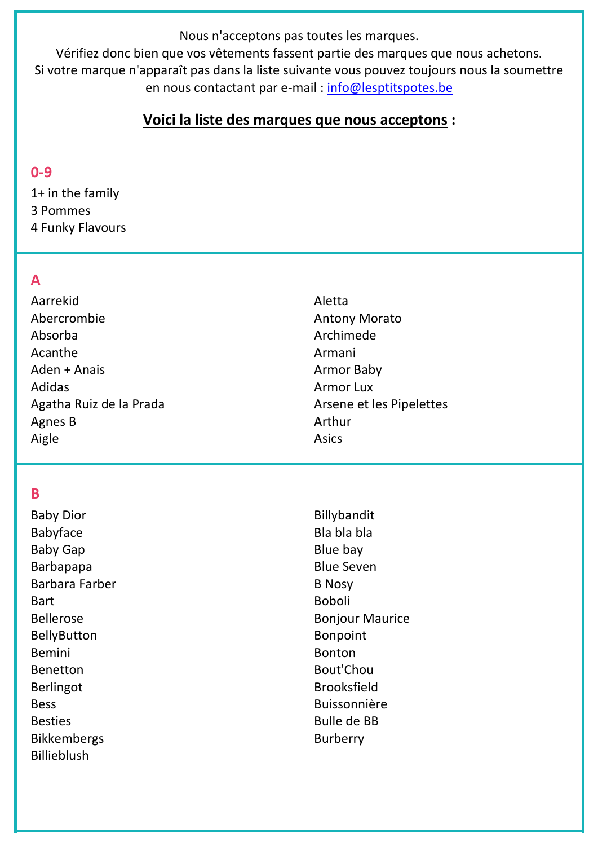Nous n'acceptons pas toutes les marques.

Vérifiez donc bien que vos vêtements fassent partie des marques que nous achetons. Si votre marque n'apparaît pas dans la liste suivante vous pouvez toujours nous la soumettre en nous contactant par e-mail : [info@lesptitspotes.be](mailto:info@lesptitspotes.be)

## **Voici la liste des marques que nous acceptons :**

### **0-9**

1+ in the family 3 Pommes 4 Funky Flavours

## **A**

Aarrekid Abercrombie Absorba Acanthe Aden + Anais Adidas Agatha Ruiz de la Prada Agnes B Aigle

### **B**

Baby Dior Babyface Baby Gap **Barbapapa** Barbara Farber **Bart** Bellerose BellyButton Bemini Benetton Berlingot **Bess** Besties Bikkembergs Billieblush

Aletta Antony Morato Archimede Armani Armor Baby Armor Lux Arsene et les Pipelettes Arthur Asics

Billybandit Bla bla bla Blue bay Blue Seven B Nosy Boboli Bonjour Maurice Bonpoint Bonton Bout'Chou Brooksfield Buissonnière Bulle de BB Burberry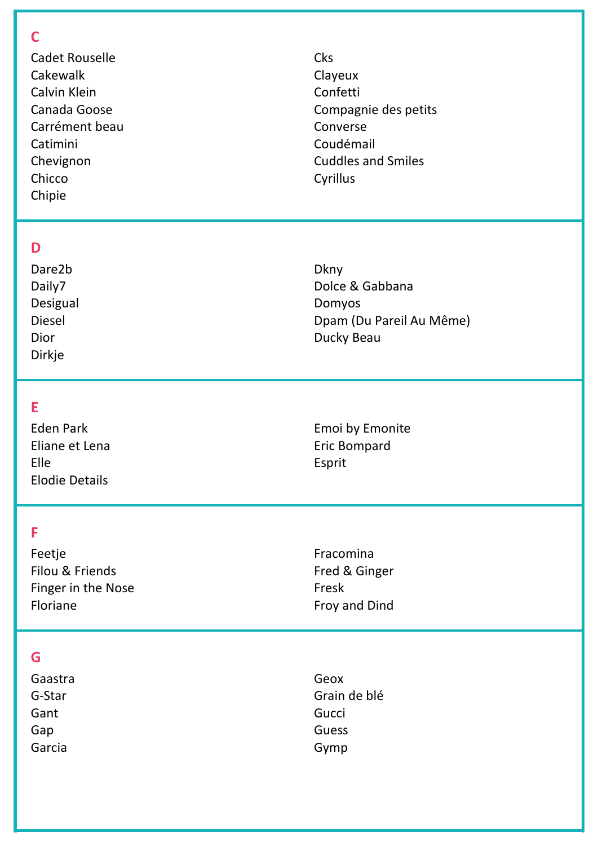### $\overline{C}$

**Cadet Rouselle** Cakewalk Calvin Klein Canada Goose Carrément beau Catimini Chevignon Chicco Chipie

### D

Dare2b Daily7 Desigual **Diesel Dior Dirkje** 

### E

**Eden Park** Eliane et Lena **Flle Elodie Details** 

## F

Feetje Filou & Friends Finger in the Nose Floriane

Fred & Ginger Fresk Froy and Dind

Fracomina

## G

Gaastra G-Star Gant Gap Garcia

Geox Grain de blé Gucci Guess Gymp

Clayeux Confetti Compagnie des petits Converse Coudémail **Cuddles and Smiles** Cyrillus

Cks

**Dkny** Dolce & Gabbana Domyos Dpam (Du Pareil Au Même) Ducky Beau

Emoi by Emonite **Eric Bompard** Esprit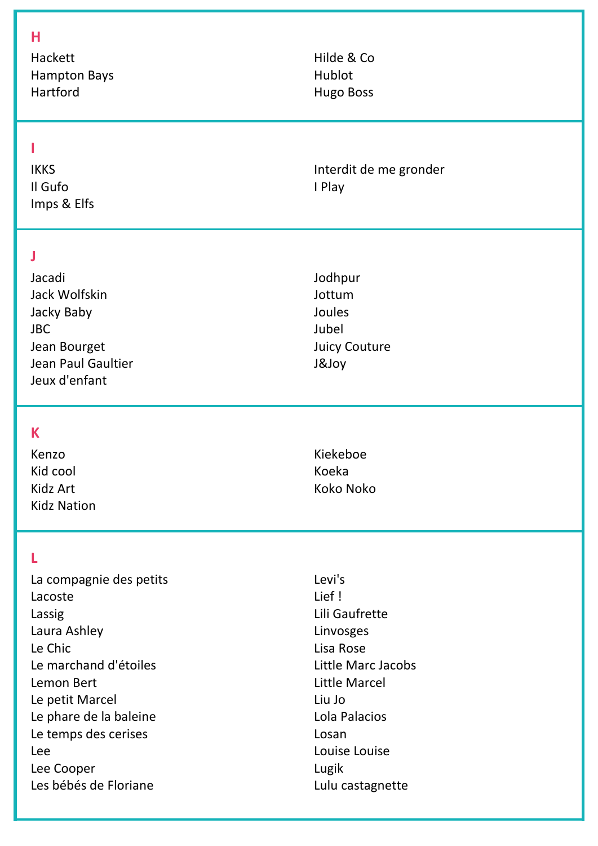#### **H**

Hackett Hampton Bays Hartford

### **I**

IKKS Il Gufo Imps & Elfs

#### **J**

Jacadi Jack Wolfskin Jacky Baby JBC Jean Bourget Jean Paul Gaultier Jeux d'enfant

### **K**

Kenzo Kid cool Kidz Art Kidz Nation

### **L**

La compagnie des petits Lacoste Lassig Laura Ashley Le Chic Le marchand d'étoiles Lemon Bert Le petit Marcel Le phare de la baleine Le temps des cerises Lee Lee Cooper Les bébés de Floriane

Hilde & Co Hublot Hugo Boss

Interdit de me gronder I Play

Jodhpur Jottum Joules Jubel Juicy Couture J&Joy

Kiekeboe Koeka Koko Noko

Levi's Lief ! Lili Gaufrette Linvosges Lisa Rose Little Marc Jacobs Little Marcel Liu Jo Lola Palacios Losan Louise Louise Lugik Lulu castagnette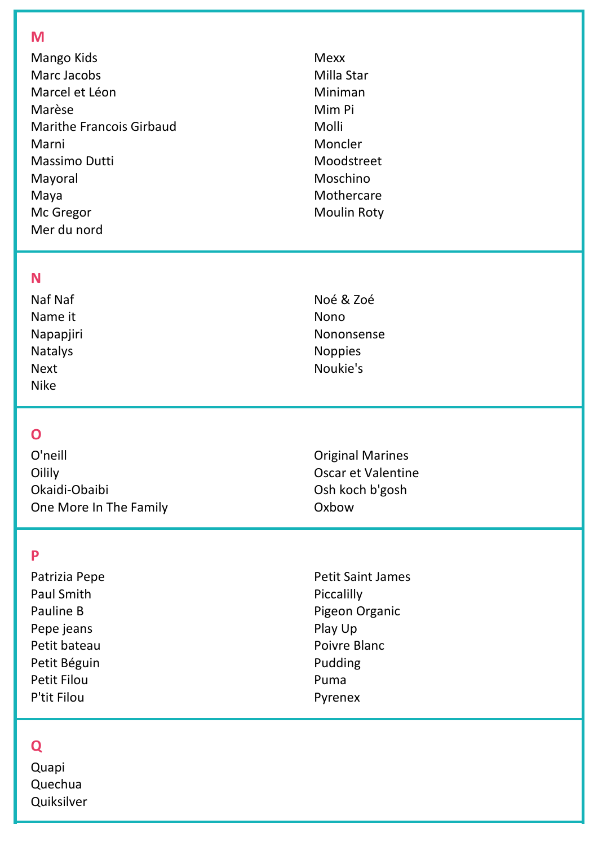#### M

Mango Kids Marc Jacobs Marcel et Léon Marèse **Marithe Francois Girbaud** Marni Massimo Dutti Mayoral Maya Mc Gregor Mer du nord

### **Mexx** Milla Star Miniman Mim Pi Molli Moncler Moodstreet Moschino Mothercare **Moulin Roty**

### **N**

Naf Naf Name it Napapjiri **Natalys Next Nike** 

## $\overline{O}$

O'neill Oilily Okaidi-Obaibi One More In The Family

### P

Patrizia Pepe **Paul Smith** Pauline B Pepe jeans Petit bateau Petit Béguin **Petit Filou** P'tit Filou

**Petit Saint James** Piccalilly Pigeon Organic

Play Up Poivre Blanc Pudding Puma Pyrenex

# $\overline{\mathbf{Q}}$

Quapi Quechua Quiksilver

### Noé & Zoé **Nono** Nononsense **Noppies** Noukie's

**Original Marines** Oscar et Valentine Osh koch b'gosh Oxbow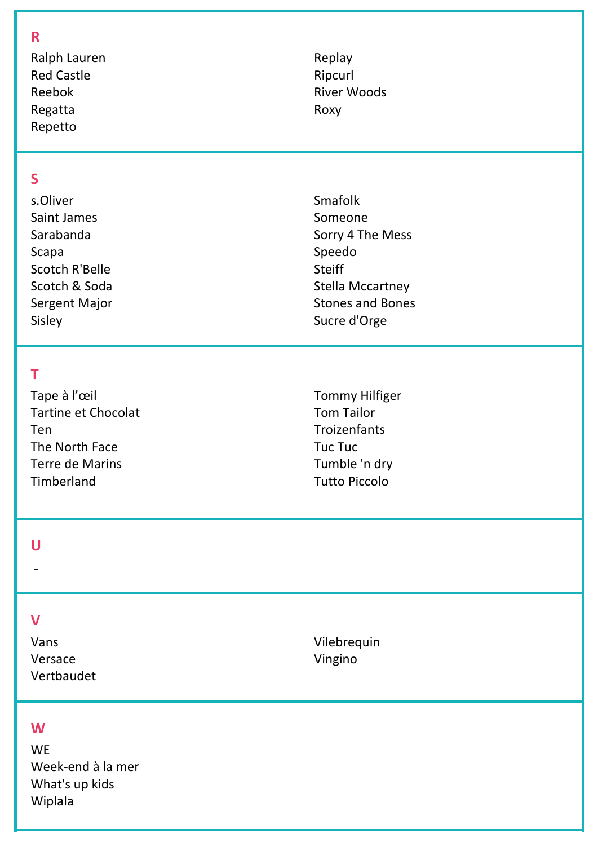#### R

Ralph Lauren **Red Castle** Reebok Regatta Repetto

Replay Ripcurl **River Woods** Roxy

## $\overline{\mathsf{S}}$

s.Oliver **Saint James** Sarabanda Scapa Scotch R'Belle Scotch & Soda Sergent Major Sisley

### T

Tape à l'œil **Tartine et Chocolat** Ten The North Face **Terre de Marins** Timberland

Smafolk Someone Sorry 4 The Mess Speedo **Steiff Stella Mccartney Stones and Bones** Sucre d'Orge

**Tommy Hilfiger Tom Tailor** Troizenfants **Tuc Tuc** Tumble 'n dry **Tutto Piccolo** 

### $\overline{U}$

### $\overline{\mathsf{V}}$

Vans Versace Vertbaudet Vilebrequin Vingino

#### W

**WE** Week-end à la mer What's up kids Wiplala